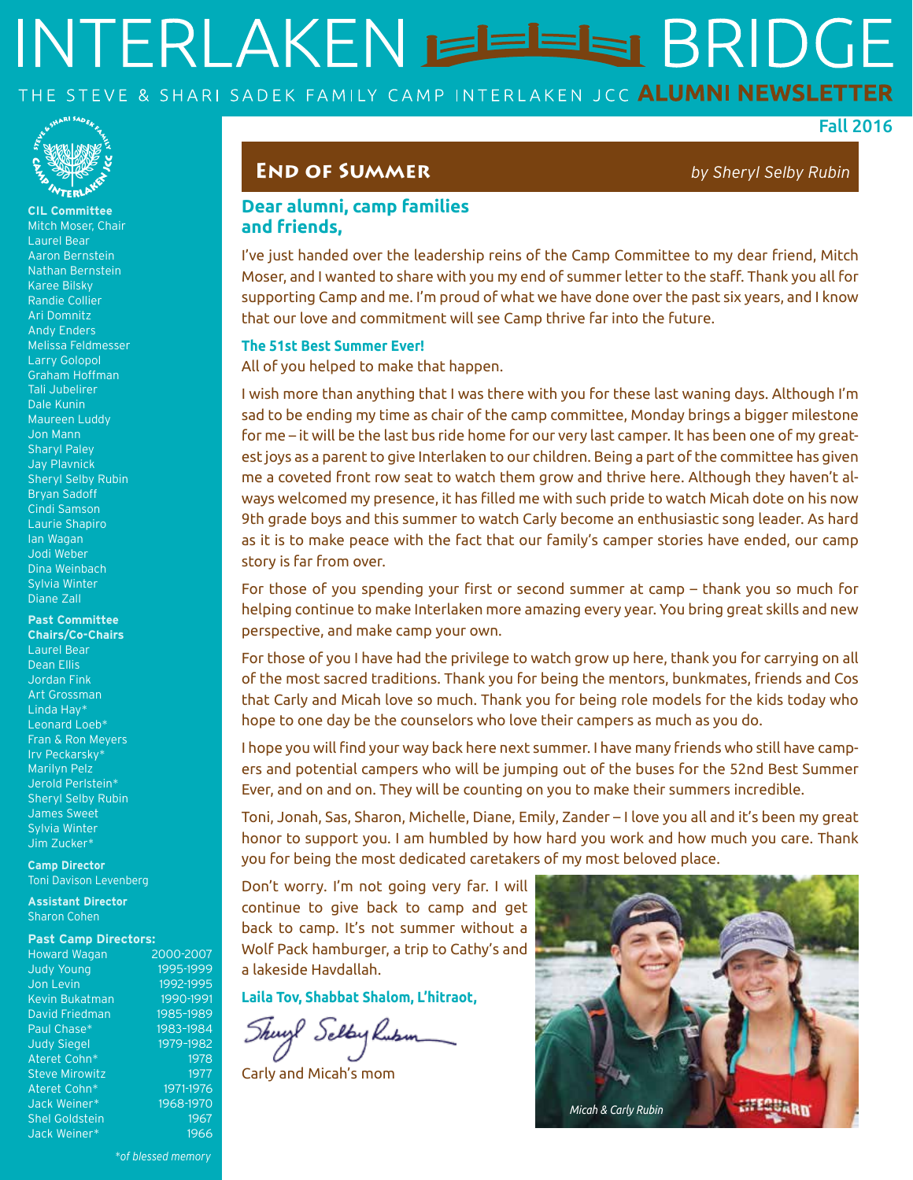# INTERLAKEN EEEE BRIDGE THE STEVE & SHARI SADEK FAMILY CAMP INTERLAKEN JCC ALUMNI NEWSLETTER



**CIL Committee**  Mitch Moser, Chair Laurel Bear Aaron Bernstein Nathan Bernstein Karee Bilsky Randie Collier Ari Domnitz Andy Enders Melissa Feldmesser Larry Golopol Graham Hoffman Tali Jubelirer Dale Kunin Maureen Luddy Jon Mann Sharyl Paley Jay Plavnick Sheryl Selby Rubin Bryan Sadoff Cindi Samson Laurie Shapiro Ian Wagan Jodi Weber Dina Weinbach Sylvia Winter Diane Zall

#### **Past Committee**

**Chairs/Co-Chairs** Laurel Bear Dean Ellis Jordan Fink Art Grossman Linda Hay\* Leonard Loeb\* Fran & Ron Meyers Irv Peckarsky\* Marilyn Pelz Jerold Perlstein\* Sheryl Selby Rubin James Sweet Sylvia Winter Jim Zucker\*

**Camp Director** Toni Davison Levenberg

**Assistant Director** Sharon Cohen

#### **Past Camp Directors:**

| <b>Howard Wagan</b>   | 2000        |
|-----------------------|-------------|
| <b>Judy Young</b>     | 1995        |
| Jon Levin             | 1992        |
| Kevin Bukatman        | 199         |
| David Friedman        | 1985        |
| Paul Chase*           | 1983        |
| <b>Judy Siegel</b>    | <b>1979</b> |
| Ateret Cohn*          |             |
| <b>Steve Mirowitz</b> |             |
| Ateret Cohn*          | 197         |
| Jack Weiner*          | 1968        |
| <b>Shel Goldstein</b> |             |
| Jack Weiner*          |             |

#### **End of Summer** *by Sheryl Selby Rubin*

Fall 2016

#### **Dear alumni, camp families and friends,**

I've just handed over the leadership reins of the Camp Committee to my dear friend, Mitch Moser, and I wanted to share with you my end of summer letter to the staff. Thank you all for supporting Camp and me. I'm proud of what we have done over the past six years, and I know that our love and commitment will see Camp thrive far into the future.

#### **The 51st Best Summer Ever!**

All of you helped to make that happen.

I wish more than anything that I was there with you for these last waning days. Although I'm sad to be ending my time as chair of the camp committee, Monday brings a bigger milestone for me – it will be the last bus ride home for our very last camper. It has been one of my greatest joys as a parent to give Interlaken to our children. Being a part of the committee has given me a coveted front row seat to watch them grow and thrive here. Although they haven't always welcomed my presence, it has filled me with such pride to watch Micah dote on his now 9th grade boys and this summer to watch Carly become an enthusiastic song leader. As hard as it is to make peace with the fact that our family's camper stories have ended, our camp story is far from over.

For those of you spending your first or second summer at camp – thank you so much for helping continue to make Interlaken more amazing every year. You bring great skills and new perspective, and make camp your own.

For those of you I have had the privilege to watch grow up here, thank you for carrying on all of the most sacred traditions. Thank you for being the mentors, bunkmates, friends and Cos that Carly and Micah love so much. Thank you for being role models for the kids today who hope to one day be the counselors who love their campers as much as you do.

I hope you will find your way back here next summer. I have many friends who still have campers and potential campers who will be jumping out of the buses for the 52nd Best Summer Ever, and on and on. They will be counting on you to make their summers incredible.

Toni, Jonah, Sas, Sharon, Michelle, Diane, Emily, Zander – I love you all and it's been my great honor to support you. I am humbled by how hard you work and how much you care. Thank you for being the most dedicated caretakers of my most beloved place.

Don't worry. I'm not going very far. I will continue to give back to camp and get back to camp. It's not summer without a Wolf Pack hamburger, a trip to Cathy's and a lakeside Havdallah.

**Laila Tov, Shabbat Shalom, L'hitraot,**

Shuyl Selby Lubin

Carly and Micah's mom



 $-2007$ 1999  $-1995$  $-1991$  $-1989$  $-1984$  $-1982$ 1978 1977  $-1976$  $1970$ 1967 1966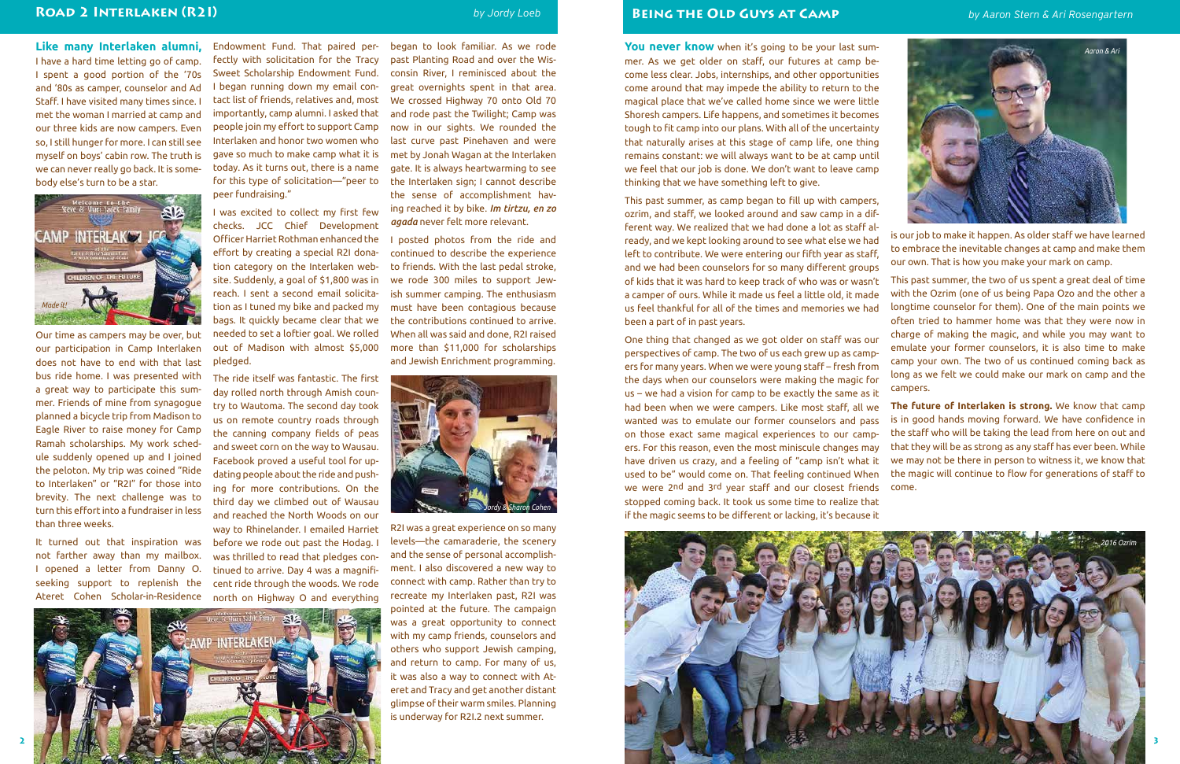**You never know** when it's going to be your last summer. As we get older on staff, our futures at camp become less clear. Jobs, internships, and other opportunities come around that may impede the ability to return to the magical place that we've called home since we were little Shoresh campers. Life happens, and sometimes it becomes tough to fit camp into our plans. With all of the uncertainty that naturally arises at this stage of camp life, one thing remains constant: we will always want to be at camp until we feel that our job is done. We don't want to leave camp thinking that we have something left to give.

This past summer, as camp began to fill up with campers, ozrim, and staff, we looked around and saw camp in a different way. We realized that we had done a lot as staff already, and we kept looking around to see what else we had left to contribute. We were entering our fifth year as staff, and we had been counselors for so many different groups of kids that it was hard to keep track of who was or wasn't a camper of ours. While it made us feel a little old, it made us feel thankful for all of the times and memories we had been a part of in past years. One thing that changed as we got older on staff was our is our job to make it happen. As older staff we have learned to embrace the inevitable changes at camp and make them our own. That is how you make your mark on camp. This past summer, the two of us spent a great deal of time with the Ozrim (one of us being Papa Ozo and the other a longtime counselor for them). One of the main points we often tried to hammer home was that they were now in charge of making the magic, and while you may want to emulate your former counselors, it is also time to make long as we felt we could make our mark on camp and the

perspectives of camp. The two of us each grew up as campers for many years. When we were young staff – fresh from the days when our counselors were making the magic for us – we had a vision for camp to be exactly the same as it had been when we were campers. Like most staff, all we wanted was to emulate our former counselors and pass on those exact same magical experiences to our campers. For this reason, even the most miniscule changes may have driven us crazy, and a feeling of "camp isn't what it used to be" would come on. That feeling continued When we were 2nd and 3rd year staff and our closest friends stopped coming back. It took us some time to realize that if the magic seems to be different or lacking, it's because it camp your own. The two of us continued coming back as campers. **The future of Interlaken is strong.** We know that camp is in good hands moving forward. We have confidence in the staff who will be taking the lead from here on out and that they will be as strong as any staff has ever been. While we may not be there in person to witness it, we know that the magic will continue to flow for generations of staff to come.

**Like many Interlaken alumni,** I have a hard time letting go of camp. I spent a good portion of the '70s and '80s as camper, counselor and Ad Staff. I have visited many times since. I met the woman I married at camp and our three kids are now campers. Even so, I still hunger for more. I can still see myself on boys' cabin row. The truth is we can never really go back. It is somebody else's turn to be a star.



Our time as campers may be over, but our participation in Camp Interlaken does not have to end with that last bus ride home. I was presented with a great way to participate this summer. Friends of mine from synagogue planned a bicycle trip from Madison to Eagle River to raise money for Camp Ramah scholarships. My work schedule suddenly opened up and I joined the peloton. My trip was coined "Ride to Interlaken" or "R2I" for those into brevity. The next challenge was to turn this effort into a fundraiser in less than three weeks.

It turned out that inspiration was not farther away than my mailbox. I opened a letter from Danny O. seeking support to replenish the Ateret Cohen Scholar-in-Residence

Endowment Fund. That paired perfectly with solicitation for the Tracy Sweet Scholarship Endowment Fund. I began running down my email contact list of friends, relatives and, most importantly, camp alumni. I asked that people join my effort to support Camp Interlaken and honor two women who gave so much to make camp what it is today. As it turns out, there is a name for this type of solicitation—"peer to peer fundraising."

I was excited to collect my first few checks. JCC Chief Development Officer Harriet Rothman enhanced the effort by creating a special R2I donation category on the Interlaken website. Suddenly, a goal of \$1,800 was in reach. I sent a second email solicitation as I tuned my bike and packed my bags. It quickly became clear that we needed to set a loftier goal. We rolled out of Madison with almost \$5,000 pledged.

The ride itself was fantastic. The first day rolled north through Amish country to Wautoma. The second day took us on remote country roads through the canning company fields of peas and sweet corn on the way to Wausau. Facebook proved a useful tool for updating people about the ride and pushing for more contributions. On the third day we climbed out of Wausau and reached the North Woods on our way to Rhinelander. I emailed Harriet before we rode out past the Hodag. I was thrilled to read that pledges continued to arrive. Day 4 was a magnificent ride through the woods. We rode north on Highway O and everything

began to look familiar. As we rode past Planting Road and over the Wisconsin River, I reminisced about the great overnights spent in that area. We crossed Highway 70 onto Old 70 and rode past the Twilight; Camp was now in our sights. We rounded the last curve past Pinehaven and were met by Jonah Wagan at the Interlaken gate. It is always heartwarming to see the Interlaken sign; I cannot describe the sense of accomplishment having reached it by bike. *Im tirtzu, en zo* 

*agada* never felt more relevant.

I posted photos from the ride and continued to describe the experience to friends. With the last pedal stroke, we rode 300 miles to support Jewish summer camping. The enthusiasm must have been contagious because the contributions continued to arrive. When all was said and done, R2I raised

# **BEING THE OLD GUYS AT CAMP** *by Aaron Stern & Ari Rosengartern*

![](_page_1_Picture_14.jpeg)

R2I was a great experience on so many levels—the camaraderie, the scenery and the sense of personal accomplishment. I also discovered a new way to connect with camp. Rather than try to recreate my Interlaken past, R2I was pointed at the future. The campaign was a great opportunity to connect with my camp friends, counselors and others who support Jewish camping, and return to camp. For many of us, it was also a way to connect with Ateret and Tracy and get another distant glimpse of their warm smiles. Planning is underway for R2I.2 next summer.

![](_page_1_Picture_16.jpeg)

### **Road 2 Interlaken (R2I)** *by Jordy Loeb*

![](_page_1_Picture_8.jpeg)

![](_page_1_Picture_18.jpeg)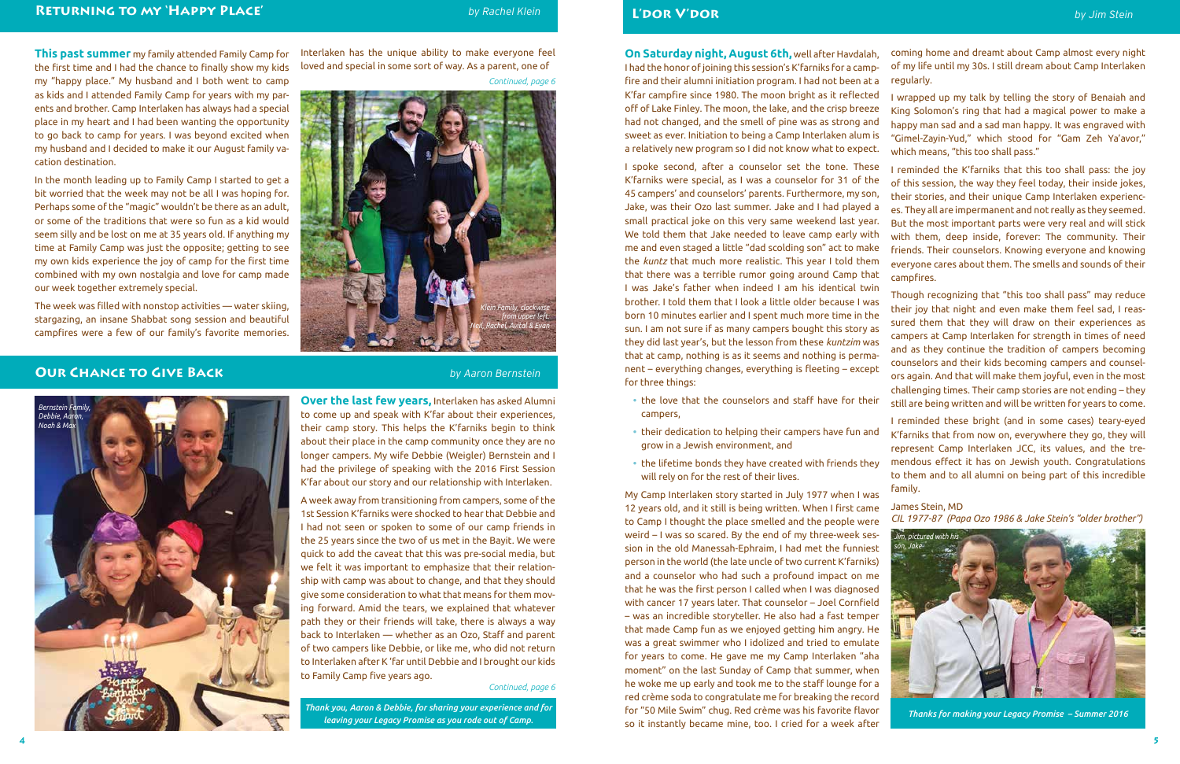**This past summer** my family attended Family Camp for the first time and I had the chance to finally show my kids my "happy place." My husband and I both went to camp as kids and I attended Family Camp for years with my parents and brother. Camp Interlaken has always had a special place in my heart and I had been wanting the opportunity to go back to camp for years. I was beyond excited when my husband and I decided to make it our August family vacation destination.

In the month leading up to Family Camp I started to get a bit worried that the week may not be all I was hoping for. Perhaps some of the "magic" wouldn't be there as an adult, or some of the traditions that were so fun as a kid would seem silly and be lost on me at 35 years old. If anything my time at Family Camp was just the opposite; getting to see my own kids experience the joy of camp for the first time combined with my own nostalgia and love for camp made our week together extremely special.

The week was filled with nonstop activities — water skiing, stargazing, an insane Shabbat song session and beautiful campfires were a few of our family's favorite memories.

Interlaken has the unique ability to make everyone feel loved and special in some sort of way. As a parent, one of

**Over the last few years,** Interlaken has asked Alumni to come up and speak with K'far about their experiences, their camp story. This helps the K'farniks begin to think about their place in the camp community once they are no longer campers. My wife Debbie (Weigler) Bernstein and I had the privilege of speaking with the 2016 First Session K'far about our story and our relationship with Interlaken.

A week away from transitioning from campers, some of the 1st Session K'farniks were shocked to hear that Debbie and I had not seen or spoken to some of our camp friends in the 25 years since the two of us met in the Bayit. We were quick to add the caveat that this was pre-social media, but we felt it was important to emphasize that their relationship with camp was about to change, and that they should give some consideration to what that means for them moving forward. Amid the tears, we explained that whatever path they or their friends will take, there is always a way back to Interlaken — whether as an Ozo, Staff and parent of two campers like Debbie, or like me, who did not return to Interlaken after K 'far until Debbie and I brought our kids to Family Camp five years ago.

- campers,
- **•** their dedication to helping their campers have fun and grow in a Jewish environment, and
- **•** the lifetime bonds they have created with friends they will rely on for the rest of their lives.

**On Saturday night, August 6th,** well after Havdalah, I had the honor of joining this session's K'farniks for a campfire and their alumni initiation program. I had not been at a K'far campfire since 1980. The moon bright as it reflected off of Lake Finley. The moon, the lake, and the crisp breeze had not changed, and the smell of pine was as strong and sweet as ever. Initiation to being a Camp Interlaken alum is a relatively new program so I did not know what to expect. I spoke second, after a counselor set the tone. These coming home and dreamt about Camp almost every night of my life until my 30s. I still dream about Camp Interlaken regularly. I wrapped up my talk by telling the story of Benaiah and King Solomon's ring that had a magical power to make a happy man sad and a sad man happy. It was engraved with "Gimel-Zayin-Yud," which stood for "Gam Zeh Ya'avor," which means, "this too shall pass." I reminded the K'farniks that this too shall pass: the joy of this session, the way they feel today, their inside jokes, their stories, and their unique Camp Interlaken experienc-

K'farniks were special, as I was a counselor for 31 of the 45 campers' and counselors' parents. Furthermore, my son, Jake, was their Ozo last summer. Jake and I had played a small practical joke on this very same weekend last year. We told them that Jake needed to leave camp early with me and even staged a little "dad scolding son" act to make the *kuntz* that much more realistic. This year I told them that there was a terrible rumor going around Camp that I was Jake's father when indeed I am his identical twin brother. I told them that I look a little older because I was born 10 minutes earlier and I spent much more time in the sun. I am not sure if as many campers bought this story as they did last year's, but the lesson from these *kuntzim* was that at camp, nothing is as it seems and nothing is permanent – everything changes, everything is fleeting – except for three things: **•** the love that the counselors and staff have for their es. They all are impermanent and not really as they seemed. But the most important parts were very real and will stick with them, deep inside, forever: The community. Their friends. Their counselors. Knowing everyone and knowing everyone cares about them. The smells and sounds of their campfires. Though recognizing that "this too shall pass" may reduce their joy that night and even make them feel sad, I reassured them that they will draw on their experiences as campers at Camp Interlaken for strength in times of need and as they continue the tradition of campers becoming counselors and their kids becoming campers and counselors again. And that will make them joyful, even in the most challenging times. Their camp stories are not ending – they still are being written and will be written for years to come.

My Camp Interlaken story started in July 1977 when I was 12 years old, and it still is being written. When I first came to Camp I thought the place smelled and the people were weird – I was so scared. By the end of my three-week session in the old Manessah-Ephraim, I had met the funniest person in the world (the late uncle of two current K'farniks) and a counselor who had such a profound impact on me that he was the first person I called when I was diagnosed with cancer 17 years later. That counselor – Joel Cornfield – was an incredible storyteller. He also had a fast temper that made Camp fun as we enjoyed getting him angry. He was a great swimmer who I idolized and tried to emulate for years to come. He gave me my Camp Interlaken "aha moment" on the last Sunday of Camp that summer, when he woke me up early and took me to the staff lounge for a red crème soda to congratulate me for breaking the record for "50 Mile Swim" chug. Red crème was his favorite flavor so it instantly became mine, too. I cried for a week after family. James Stein, MD *CIL 1977-87 (Papa Ozo 1986 & Jake Stein's "older brother") leaving your Legacy Promise as you rode out of Camp. Thanks for making your Legacy Promise – Summer 2016 Jim, pictured with his son, Jake*

I reminded these bright (and in some cases) teary-eyed K'farniks that from now on, everywhere they go, they will represent Camp Interlaken JCC, its values, and the tremendous effect it has on Jewish youth. Congratulations to them and to all alumni on being part of this incredible

![](_page_2_Picture_27.jpeg)

# **Our Chance to Give Back** *by Aaron Bernstein*

# **L'dor V'dor** *by Jim Stein*

*Thank you, Aaron & Debbie, for sharing your experience and for* 

*Continued, page 6*

#### *Continued, page 6*

![](_page_2_Picture_9.jpeg)

![](_page_2_Picture_6.jpeg)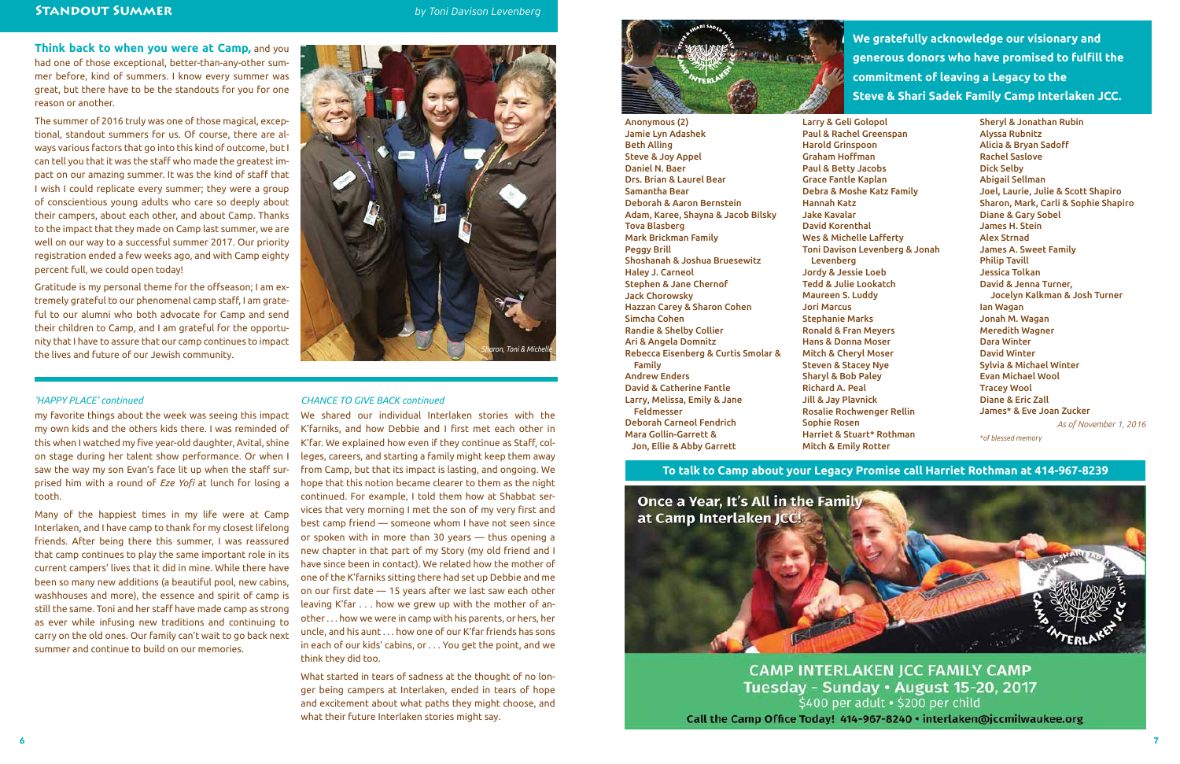**We gratefully acknowledge our visionary and generous donors who have promised to fulfill the commitment of leaving a Legacy to the Steve & Shari Sadek Family Camp Interlaken JCC.**

Anonymous (2) Jamie Lyn Adashek Beth Alling Steve & Joy Appel Daniel N. Baer Drs. Brian & Laurel Bear Samantha Bear Deborah & Aaron Bernstein Adam, Karee, Shayna & Jacob Bilsky Tova Blasberg Mark Brickman Family Peggy Brill Shoshanah & Joshua Bruesewitz Haley J. Carneol Stephen & Jane Chernof Jack Chorowsky Hazzan Carey & Sharon Cohen Simcha Cohen Randie & Shelby Collier Ari & Angela Domnitz Rebecca Eisenberg & Curtis Smolar & Family Andrew Enders David & Catherine Fantle Larry, Melissa, Emily & Jane Feldmesser Deborah Carneol Fendrich Mara Gollin-Garrett & Jon, Ellie & Abby Garrett

Larry & Geli Golopol Paul & Rachel Greenspan Paul & Betty Jacobs Grace Fantle Kaplan Debra & Moshe Katz Family

Wes & Michelle Lafferty Toni Davison Levenberg & Jonah

Jordy & Jessie Loeb Tedd & Julie Lookatch

Harold Grinspoon Graham Hoffman Hannah Katz Jake Kavalar David Korenthal Levenberg Maureen S. Luddy Jori Marcus Stephanie Marks Sharyl & Bob Paley Richard A. Peal Jill & Jay Plavnick Sophie Rosen

Ronald & Fran Meyers Hans & Donna Moser Mitch & Cheryl Moser Steven & Stacey Nye

Rosalie Rochwenger Rellin

Harriet & Stuart\* Rothman Mitch & Emily Rotter

Sheryl & Jonathan Rubin Alyssa Rubnitz Alicia & Bryan Sadoff Rachel Saslove Dick Selby Abigail Sellman Joel, Laurie, Julie & Scott Shapiro Sharon, Mark, Carli & Sophie Shapiro Diane & Gary Sobel James H. Stein Alex Strnad James A. Sweet Family Philip Tavill Jessica Tolkan David & Jenna Turner, Jocelyn Kalkman & Josh Turner Ian Wagan Jonah M. Wagan Meredith Wagner Dara Winter David Winter Sylvia & Michael Winter Evan Michael Wool Tracey Wool Diane & Eric Zall James\* & Eve Joan Zucker *As of November 1, 2016*

*\*of blessed memory*

my favorite things about the week was seeing this impact We shared our individual Interlaken stories with the my own kids and the others kids there. I was reminded of this when I watched my five year-old daughter, Avital, shine on stage during her talent show performance. Or when I saw the way my son Evan's face lit up when the staff surprised him with a round of *Eze Yofi* at lunch for losing a tooth.

Many of the happiest times in my life were at Camp Interlaken, and I have camp to thank for my closest lifelong friends. After being there this summer, I was reassured that camp continues to play the same important role in its current campers' lives that it did in mine. While there have been so many new additions (a beautiful pool, new cabins, washhouses and more), the essence and spirit of camp is still the same. Toni and her staff have made camp as strong as ever while infusing new traditions and continuing to carry on the old ones. Our family can't wait to go back next summer and continue to build on our memories.

**Think back to when you were at Camp,** and you had one of those exceptional, better-than-any-other summer before, kind of summers. I know every summer was great, but there have to be the standouts for you for one reason or another.

The summer of 2016 truly was one of those magical, exceptional, standout summers for us. Of course, there are always various factors that go into this kind of outcome, but I can tell you that it was the staff who made the greatest impact on our amazing summer. It was the kind of staff that I wish I could replicate every summer; they were a group of conscientious young adults who care so deeply about their campers, about each other, and about Camp. Thanks to the impact that they made on Camp last summer, we are well on our way to a successful summer 2017. Our priority registration ended a few weeks ago, and with Camp eighty percent full, we could open today!

Gratitude is my personal theme for the offseason; I am extremely grateful to our phenomenal camp staff, I am grateful to our alumni who both advocate for Camp and send their children to Camp, and I am grateful for the opportunity that I have to assure that our camp continues to impact the lives and future of our Jewish community.

#### *'HAPPY PLACE' continued CHANCE TO GIVE BACK continued*

### **To talk to Camp about your Legacy Promise call Harriet Rothman at 414-967-8239**

![](_page_3_Picture_17.jpeg)

**CAMP INTERLAKEN JCC FAMILY CAMP** Tuesday - Sunday · August 15-20, 2017 \$400 per adult · \$200 per child Call the Camp Office Today! 414-967-8240 · interlaken@jccmilwaukee.org

K'farniks, and how Debbie and I first met each other in K'far. We explained how even if they continue as Staff, colleges, careers, and starting a family might keep them away from Camp, but that its impact is lasting, and ongoing. We hope that this notion became clearer to them as the night continued. For example, I told them how at Shabbat services that very morning I met the son of my very first and best camp friend — someone whom I have not seen since or spoken with in more than 30 years — thus opening a new chapter in that part of my Story (my old friend and I have since been in contact). We related how the mother of one of the K'farniks sitting there had set up Debbie and me on our first date — 15 years after we last saw each other leaving K'far . . . how we grew up with the mother of another . . . how we were in camp with his parents, or hers, her uncle, and his aunt . . . how one of our K'far friends has sons in each of our kids' cabins, or . . . You get the point, and we think they did too.

What started in tears of sadness at the thought of no longer being campers at Interlaken, ended in tears of hope and excitement about what paths they might choose, and what their future Interlaken stories might say.

![](_page_3_Picture_12.jpeg)

#### **Standout Summer** *by Toni Davison Levenberg*

![](_page_3_Picture_5.jpeg)